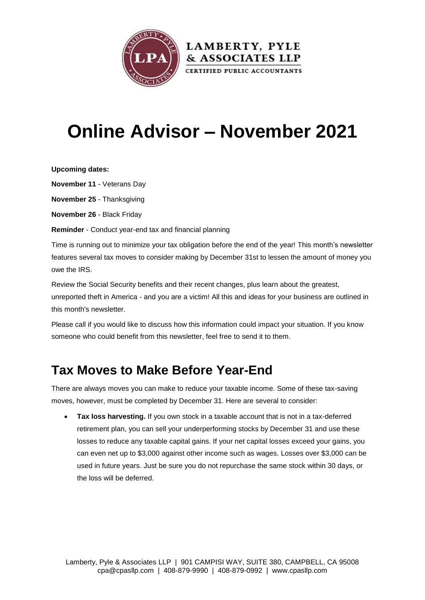

# **Online Advisor – November 2021**

**Upcoming dates:**

**November 11** - Veterans Day

**November 25** - Thanksgiving

**November 26** - Black Friday

**Reminder** - Conduct year-end tax and financial planning

Time is running out to minimize your tax obligation before the end of the year! This month's newsletter features several tax moves to consider making by December 31st to lessen the amount of money you owe the IRS.

Review the Social Security benefits and their recent changes, plus learn about the greatest, unreported theft in America - and you are a victim! All this and ideas for your business are outlined in this month's newsletter.

Please call if you would like to discuss how this information could impact your situation. If you know someone who could benefit from this newsletter, feel free to send it to them.

### **Tax Moves to Make Before Year-End**

There are always moves you can make to reduce your taxable income. Some of these tax-saving moves, however, must be completed by December 31. Here are several to consider:

 **Tax loss harvesting.** If you own stock in a taxable account that is not in a tax-deferred retirement plan, you can sell your underperforming stocks by December 31 and use these losses to reduce any taxable capital gains. If your net capital losses exceed your gains, you can even net up to \$3,000 against other income such as wages. Losses over \$3,000 can be used in future years. Just be sure you do not repurchase the same stock within 30 days, or the loss will be deferred.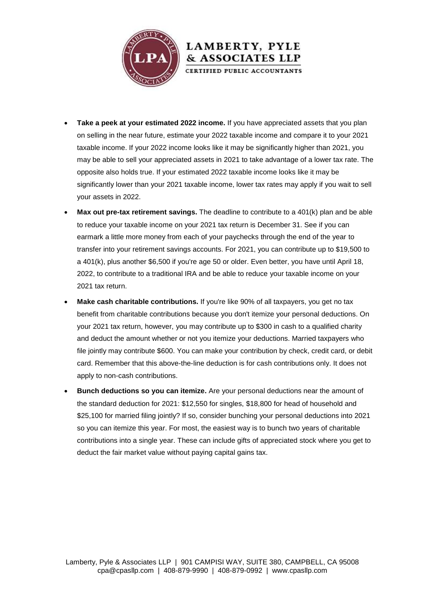

 **Take a peek at your estimated 2022 income.** If you have appreciated assets that you plan on selling in the near future, estimate your 2022 taxable income and compare it to your 2021 taxable income. If your 2022 income looks like it may be significantly higher than 2021, you may be able to sell your appreciated assets in 2021 to take advantage of a lower tax rate. The opposite also holds true. If your estimated 2022 taxable income looks like it may be significantly lower than your 2021 taxable income, lower tax rates may apply if you wait to sell your assets in 2022.

LAMBERTY, PYLE & ASSOCIATES LLP CERTIFIED PUBLIC ACCOUNTANTS

- **Max out pre-tax retirement savings.** The deadline to contribute to a 401(k) plan and be able to reduce your taxable income on your 2021 tax return is December 31. See if you can earmark a little more money from each of your paychecks through the end of the year to transfer into your retirement savings accounts. For 2021, you can contribute up to \$19,500 to a 401(k), plus another \$6,500 if you're age 50 or older. Even better, you have until April 18, 2022, to contribute to a traditional IRA and be able to reduce your taxable income on your 2021 tax return.
- **Make cash charitable contributions.** If you're like 90% of all taxpayers, you get no tax benefit from charitable contributions because you don't itemize your personal deductions. On your 2021 tax return, however, you may contribute up to \$300 in cash to a qualified charity and deduct the amount whether or not you itemize your deductions. Married taxpayers who file jointly may contribute \$600. You can make your contribution by check, credit card, or debit card. Remember that this above-the-line deduction is for cash contributions only. It does not apply to non-cash contributions.
- **Bunch deductions so you can itemize.** Are your personal deductions near the amount of the standard deduction for 2021: \$12,550 for singles, \$18,800 for head of household and \$25,100 for married filing jointly? If so, consider bunching your personal deductions into 2021 so you can itemize this year. For most, the easiest way is to bunch two years of charitable contributions into a single year. These can include gifts of appreciated stock where you get to deduct the fair market value without paying capital gains tax.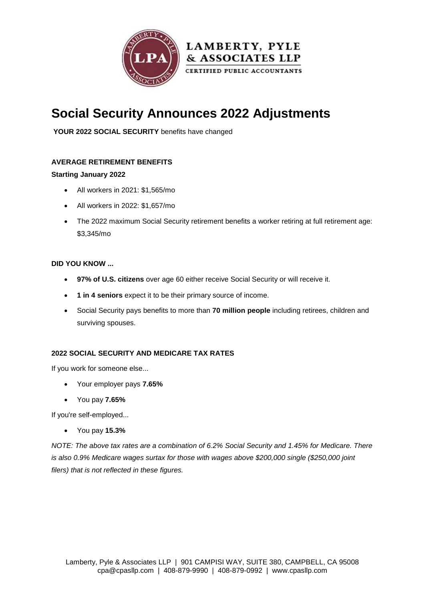

### **Social Security Announces 2022 Adjustments**

**YOUR 2022 SOCIAL SECURITY** benefits have changed

#### **AVERAGE RETIREMENT BENEFITS**

#### **Starting January 2022**

- All workers in 2021: \$1,565/mo
- All workers in 2022: \$1,657/mo
- The 2022 maximum Social Security retirement benefits a worker retiring at full retirement age: \$3,345/mo

#### **DID YOU KNOW ...**

- **97% of U.S. citizens** over age 60 either receive Social Security or will receive it.
- **1 in 4 seniors** expect it to be their primary source of income.
- Social Security pays benefits to more than **70 million people** including retirees, children and surviving spouses.

#### **2022 SOCIAL SECURITY AND MEDICARE TAX RATES**

If you work for someone else...

- Your employer pays **7.65%**
- You pay **7.65%**

If you're self-employed...

You pay **15.3%**

*NOTE: The above tax rates are a combination of 6.2% Social Security and 1.45% for Medicare. There is also 0.9% Medicare wages surtax for those with wages above \$200,000 single (\$250,000 joint filers) that is not reflected in these figures.*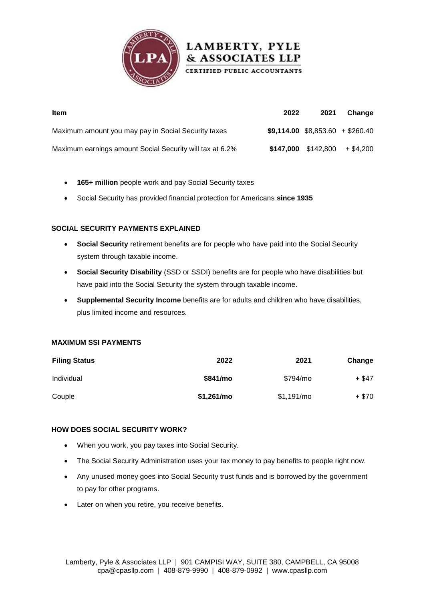



- **165+ million** people work and pay Social Security taxes
- Social Security has provided financial protection for Americans **since 1935**

#### **SOCIAL SECURITY PAYMENTS EXPLAINED**

- **Social Security** retirement benefits are for people who have paid into the Social Security system through taxable income.
- **Social Security Disability** (SSD or SSDI) benefits are for people who have disabilities but have paid into the Social Security the system through taxable income.
- **Supplemental Security Income** benefits are for adults and children who have disabilities, plus limited income and resources.

#### **MAXIMUM SSI PAYMENTS**

| <b>Filing Status</b> | 2022        | 2021       | Change  |
|----------------------|-------------|------------|---------|
| Individual           | \$841/mo    | \$794/mo   | + \$47  |
| Couple               | \$1,261/mol | \$1,191/mo | $+ $70$ |

#### **HOW DOES SOCIAL SECURITY WORK?**

- When you work, you pay taxes into Social Security.
- The Social Security Administration uses your tax money to pay benefits to people right now.
- Any unused money goes into Social Security trust funds and is borrowed by the government to pay for other programs.
- Later on when you retire, you receive benefits.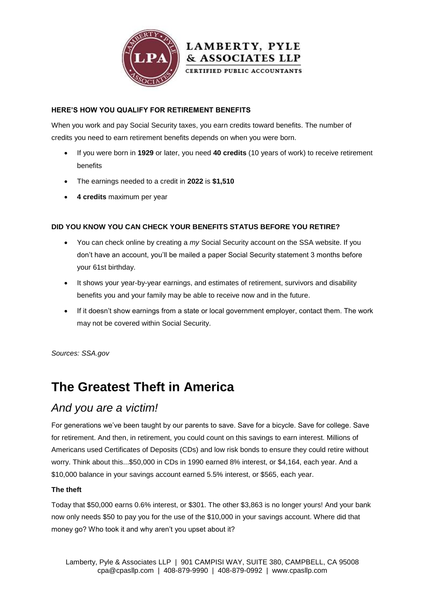

#### **HERE'S HOW YOU QUALIFY FOR RETIREMENT BENEFITS**

When you work and pay Social Security taxes, you earn credits toward benefits. The number of credits you need to earn retirement benefits depends on when you were born.

- If you were born in **1929** or later, you need **40 credits** (10 years of work) to receive retirement benefits
- The earnings needed to a credit in **2022** is **\$1,510**
- **4 credits** maximum per year

#### **DID YOU KNOW YOU CAN CHECK YOUR BENEFITS STATUS BEFORE YOU RETIRE?**

- You can check online by creating a *my* Social Security account on the SSA website. If you don't have an account, you'll be mailed a paper Social Security statement 3 months before your 61st birthday.
- It shows your year-by-year earnings, and estimates of retirement, survivors and disability benefits you and your family may be able to receive now and in the future.
- If it doesn't show earnings from a state or local government employer, contact them. The work may not be covered within Social Security.

*Sources: SSA.gov*

### **The Greatest Theft in America**

### *And you are a victim!*

For generations we've been taught by our parents to save. Save for a bicycle. Save for college. Save for retirement. And then, in retirement, you could count on this savings to earn interest. Millions of Americans used Certificates of Deposits (CDs) and low risk bonds to ensure they could retire without worry. Think about this...\$50,000 in CDs in 1990 earned 8% interest, or \$4,164, each year. And a \$10,000 balance in your savings account earned 5.5% interest, or \$565, each year.

#### **The theft**

Today that \$50,000 earns 0.6% interest, or \$301. The other \$3,863 is no longer yours! And your bank now only needs \$50 to pay you for the use of the \$10,000 in your savings account. Where did that money go? Who took it and why aren't you upset about it?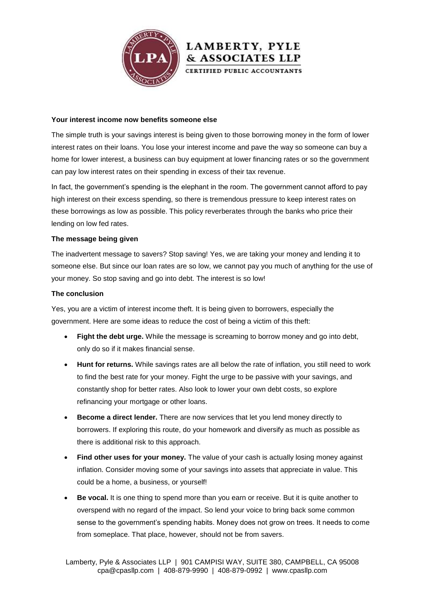

#### **Your interest income now benefits someone else**

The simple truth is your savings interest is being given to those borrowing money in the form of lower interest rates on their loans. You lose your interest income and pave the way so someone can buy a home for lower interest, a business can buy equipment at lower financing rates or so the government can pay low interest rates on their spending in excess of their tax revenue.

**LAMBERTY, PYLE** & ASSOCIATES LLP CERTIFIED PUBLIC ACCOUNTANTS

In fact, the government's spending is the elephant in the room. The government cannot afford to pay high interest on their excess spending, so there is tremendous pressure to keep interest rates on these borrowings as low as possible. This policy reverberates through the banks who price their lending on low fed rates.

#### **The message being given**

The inadvertent message to savers? Stop saving! Yes, we are taking your money and lending it to someone else. But since our loan rates are so low, we cannot pay you much of anything for the use of your money. So stop saving and go into debt. The interest is so low!

#### **The conclusion**

Yes, you are a victim of interest income theft. It is being given to borrowers, especially the government. Here are some ideas to reduce the cost of being a victim of this theft:

- **Fight the debt urge.** While the message is screaming to borrow money and go into debt, only do so if it makes financial sense.
- **Hunt for returns.** While savings rates are all below the rate of inflation, you still need to work to find the best rate for your money. Fight the urge to be passive with your savings, and constantly shop for better rates. Also look to lower your own debt costs, so explore refinancing your mortgage or other loans.
- **Become a direct lender.** There are now services that let you lend money directly to borrowers. If exploring this route, do your homework and diversify as much as possible as there is additional risk to this approach.
- **Find other uses for your money.** The value of your cash is actually losing money against inflation. Consider moving some of your savings into assets that appreciate in value. This could be a home, a business, or yourself!
- **Be vocal.** It is one thing to spend more than you earn or receive. But it is quite another to overspend with no regard of the impact. So lend your voice to bring back some common sense to the government's spending habits. Money does not grow on trees. It needs to come from someplace. That place, however, should not be from savers.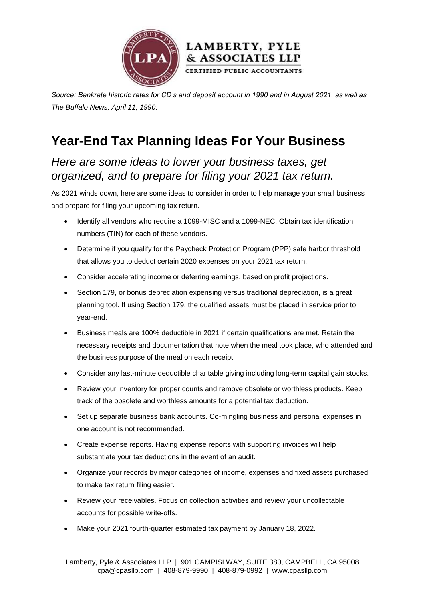



*Source: Bankrate historic rates for CD's and deposit account in 1990 and in August 2021, as well as The Buffalo News, April 11, 1990.*

# **Year-End Tax Planning Ideas For Your Business**

*Here are some ideas to lower your business taxes, get organized, and to prepare for filing your 2021 tax return.*

As 2021 winds down, here are some ideas to consider in order to help manage your small business and prepare for filing your upcoming tax return.

- Identify all vendors who require a 1099-MISC and a 1099-NEC. Obtain tax identification numbers (TIN) for each of these vendors.
- Determine if you qualify for the Paycheck Protection Program (PPP) safe harbor threshold that allows you to deduct certain 2020 expenses on your 2021 tax return.
- Consider accelerating income or deferring earnings, based on profit projections.
- Section 179, or bonus depreciation expensing versus traditional depreciation, is a great planning tool. If using Section 179, the qualified assets must be placed in service prior to year-end.
- Business meals are 100% deductible in 2021 if certain qualifications are met. Retain the necessary receipts and documentation that note when the meal took place, who attended and the business purpose of the meal on each receipt.
- Consider any last-minute deductible charitable giving including long-term capital gain stocks.
- Review your inventory for proper counts and remove obsolete or worthless products. Keep track of the obsolete and worthless amounts for a potential tax deduction.
- Set up separate business bank accounts. Co-mingling business and personal expenses in one account is not recommended.
- Create expense reports. Having expense reports with supporting invoices will help substantiate your tax deductions in the event of an audit.
- Organize your records by major categories of income, expenses and fixed assets purchased to make tax return filing easier.
- Review your receivables. Focus on collection activities and review your uncollectable accounts for possible write-offs.
- Make your 2021 fourth-quarter estimated tax payment by January 18, 2022.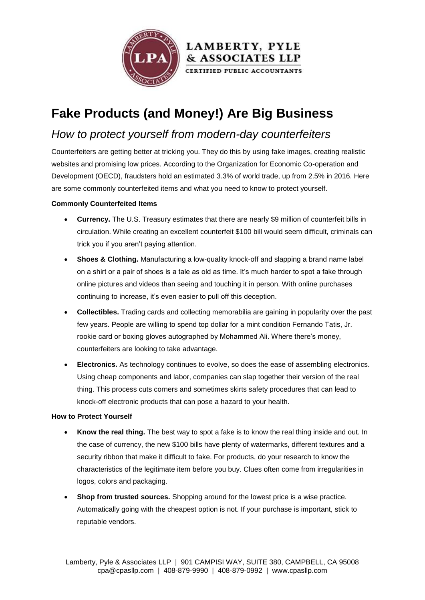

# **Fake Products (and Money!) Are Big Business**

### *How to protect yourself from modern-day counterfeiters*

Counterfeiters are getting better at tricking you. They do this by using fake images, creating realistic websites and promising low prices. According to the Organization for Economic Co-operation and Development (OECD), fraudsters hold an estimated 3.3% of world trade, up from 2.5% in 2016. Here are some commonly counterfeited items and what you need to know to protect yourself.

LAMBERTY, PYLE & ASSOCIATES LLP CERTIFIED PUBLIC ACCOUNTANTS

#### **Commonly Counterfeited Items**

- **Currency.** The U.S. Treasury estimates that there are nearly \$9 million of counterfeit bills in circulation. While creating an excellent counterfeit \$100 bill would seem difficult, criminals can trick you if you aren't paying attention.
- **Shoes & Clothing.** Manufacturing a low-quality knock-off and slapping a brand name label on a shirt or a pair of shoes is a tale as old as time. It's much harder to spot a fake through online pictures and videos than seeing and touching it in person. With online purchases continuing to increase, it's even easier to pull off this deception.
- **Collectibles.** Trading cards and collecting memorabilia are gaining in popularity over the past few years. People are willing to spend top dollar for a mint condition Fernando Tatis, Jr. rookie card or boxing gloves autographed by Mohammed Ali. Where there's money, counterfeiters are looking to take advantage.
- **Electronics.** As technology continues to evolve, so does the ease of assembling electronics. Using cheap components and labor, companies can slap together their version of the real thing. This process cuts corners and sometimes skirts safety procedures that can lead to knock-off electronic products that can pose a hazard to your health.

#### **How to Protect Yourself**

- **Know the real thing.** The best way to spot a fake is to know the real thing inside and out. In the case of currency, the new \$100 bills have plenty of watermarks, different textures and a security ribbon that make it difficult to fake. For products, do your research to know the characteristics of the legitimate item before you buy. Clues often come from irregularities in logos, colors and packaging.
- **Shop from trusted sources.** Shopping around for the lowest price is a wise practice. Automatically going with the cheapest option is not. If your purchase is important, stick to reputable vendors.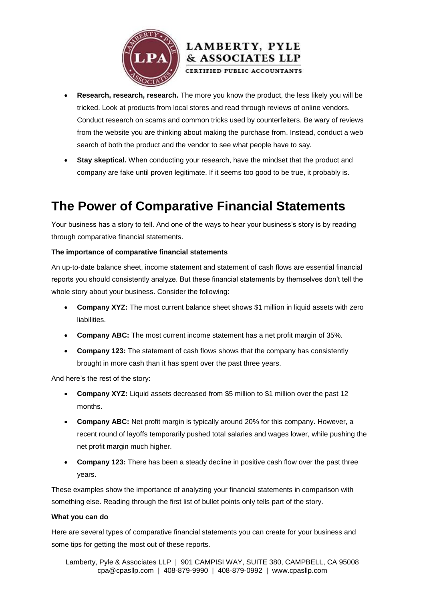



 **Research, research, research.** The more you know the product, the less likely you will be tricked. Look at products from local stores and read through reviews of online vendors. Conduct research on scams and common tricks used by counterfeiters. Be wary of reviews from the website you are thinking about making the purchase from. Instead, conduct a web search of both the product and the vendor to see what people have to say.

 **Stay skeptical.** When conducting your research, have the mindset that the product and company are fake until proven legitimate. If it seems too good to be true, it probably is.

### **The Power of Comparative Financial Statements**

Your business has a story to tell. And one of the ways to hear your business's story is by reading through comparative financial statements.

#### **The importance of comparative financial statements**

An up-to-date balance sheet, income statement and statement of cash flows are essential financial reports you should consistently analyze. But these financial statements by themselves don't tell the whole story about your business. Consider the following:

- **Company XYZ:** The most current balance sheet shows \$1 million in liquid assets with zero liabilities.
- **Company ABC:** The most current income statement has a net profit margin of 35%.
- **Company 123:** The statement of cash flows shows that the company has consistently brought in more cash than it has spent over the past three years.

And here's the rest of the story:

- **Company XYZ:** Liquid assets decreased from \$5 million to \$1 million over the past 12 months.
- **Company ABC:** Net profit margin is typically around 20% for this company. However, a recent round of layoffs temporarily pushed total salaries and wages lower, while pushing the net profit margin much higher.
- **Company 123:** There has been a steady decline in positive cash flow over the past three years.

These examples show the importance of analyzing your financial statements in comparison with something else. Reading through the first list of bullet points only tells part of the story.

#### **What you can do**

Here are several types of comparative financial statements you can create for your business and some tips for getting the most out of these reports.